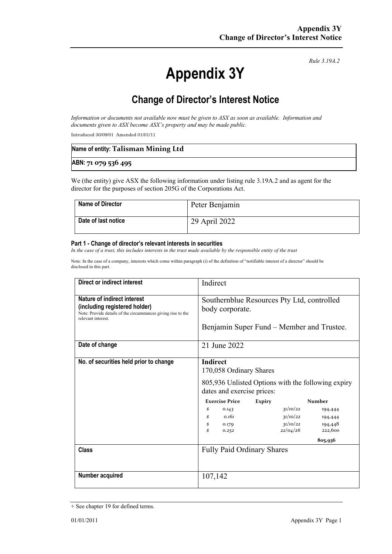*Rule 3.19A.2*

# **Appendix 3Y**

# **Change of Director's Interest Notice**

*Information or documents not available now must be given to ASX as soon as available. Information and documents given to ASX become ASX's property and may be made public.*

Introduced 30/09/01 Amended 01/01/11

| Name of entity: Talisman Mining Ltd |  |
|-------------------------------------|--|
| ABN: 71 079 536 495                 |  |

We (the entity) give ASX the following information under listing rule 3.19A.2 and as agent for the director for the purposes of section 205G of the Corporations Act.

| <b>Name of Director</b> | Peter Benjamin |
|-------------------------|----------------|
| Date of last notice     | 29 April 2022  |

#### **Part 1 - Change of director's relevant interests in securities**

*In the case of a trust, this includes interests in the trust made available by the responsible entity of the trust*

Note: In the case of a company, interests which come within paragraph (i) of the definition of "notifiable interest of a director" should be disclosed in this part.

| <b>Direct or indirect interest</b>                                                                                                                         | Indirect                                                                                                                       |                                  |                               |
|------------------------------------------------------------------------------------------------------------------------------------------------------------|--------------------------------------------------------------------------------------------------------------------------------|----------------------------------|-------------------------------|
| <b>Nature of indirect interest</b><br>(including registered holder)<br>Note: Provide details of the circumstances giving rise to the<br>relevant interest. | Southernblue Resources Pty Ltd, controlled<br>body corporate.<br>Benjamin Super Fund – Member and Trustee.                     |                                  |                               |
|                                                                                                                                                            |                                                                                                                                |                                  |                               |
| Date of change                                                                                                                                             | 21 June 2022                                                                                                                   |                                  |                               |
| No. of securities held prior to change                                                                                                                     | <b>Indirect</b><br>170,058 Ordinary Shares<br>805,936 Unlisted Options with the following expiry<br>dates and exercise prices: |                                  |                               |
|                                                                                                                                                            | <b>Exercise Price</b><br><b>Expiry</b>                                                                                         |                                  | <b>Number</b>                 |
|                                                                                                                                                            | \$<br>0.143<br>0.161                                                                                                           | 31/10/22                         | 194,444                       |
|                                                                                                                                                            | \$<br>$\mathcal S$<br>0.179<br>\$<br>0.252                                                                                     | 31/10/22<br>31/10/22<br>22/04/26 | 194,444<br>194,448<br>222,600 |
|                                                                                                                                                            |                                                                                                                                |                                  | 805,936                       |
| <b>Class</b>                                                                                                                                               | <b>Fully Paid Ordinary Shares</b>                                                                                              |                                  |                               |
| Number acquired                                                                                                                                            | 107,142                                                                                                                        |                                  |                               |

<sup>+</sup> See chapter 19 for defined terms.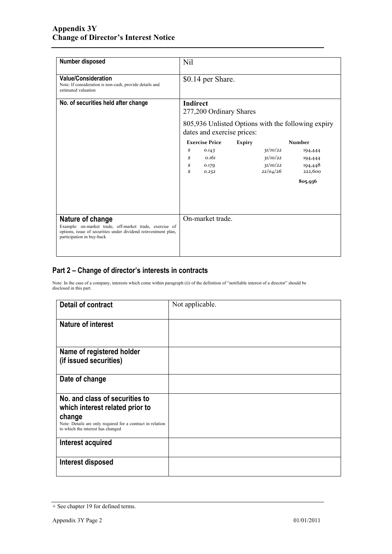| Number disposed                                                                                                                                                            | N <sub>il</sub>                                                                                                                |                                  |               |                                              |                                          |
|----------------------------------------------------------------------------------------------------------------------------------------------------------------------------|--------------------------------------------------------------------------------------------------------------------------------|----------------------------------|---------------|----------------------------------------------|------------------------------------------|
| <b>Value/Consideration</b><br>Note: If consideration is non-cash, provide details and<br>estimated valuation                                                               | \$0.14 per Share.                                                                                                              |                                  |               |                                              |                                          |
| No. of securities held after change                                                                                                                                        | <b>Indirect</b><br>277,200 Ordinary Shares<br>805,936 Unlisted Options with the following expiry<br>dates and exercise prices: |                                  |               |                                              |                                          |
|                                                                                                                                                                            |                                                                                                                                | <b>Exercise Price</b>            | <b>Expiry</b> |                                              | <b>Number</b>                            |
|                                                                                                                                                                            | \$<br>\$<br>\$<br>\$                                                                                                           | 0.143<br>0.161<br>0.179<br>0.252 |               | 31/10/22<br>31/10/22<br>31/10/22<br>22/04/26 | 194,444<br>194,444<br>194,448<br>222,600 |
|                                                                                                                                                                            |                                                                                                                                |                                  |               |                                              | 805,936                                  |
| Nature of change<br>Example: on-market trade, off-market trade, exercise of<br>options, issue of securities under dividend reinvestment plan,<br>participation in buy-back |                                                                                                                                | On-market trade.                 |               |                                              |                                          |

### **Part 2 – Change of director's interests in contracts**

Note: In the case of a company, interests which come within paragraph (ii) of the definition of "notifiable interest of a director" should be disclosed in this part.

| <b>Detail of contract</b>                                                                                 | Not applicable. |
|-----------------------------------------------------------------------------------------------------------|-----------------|
| Nature of interest                                                                                        |                 |
| Name of registered holder<br>(if issued securities)                                                       |                 |
| Date of change                                                                                            |                 |
| No. and class of securities to<br>which interest related prior to                                         |                 |
| change<br>Note: Details are only required for a contract in relation<br>to which the interest has changed |                 |
| Interest acquired                                                                                         |                 |
| Interest disposed                                                                                         |                 |

<sup>+</sup> See chapter 19 for defined terms.